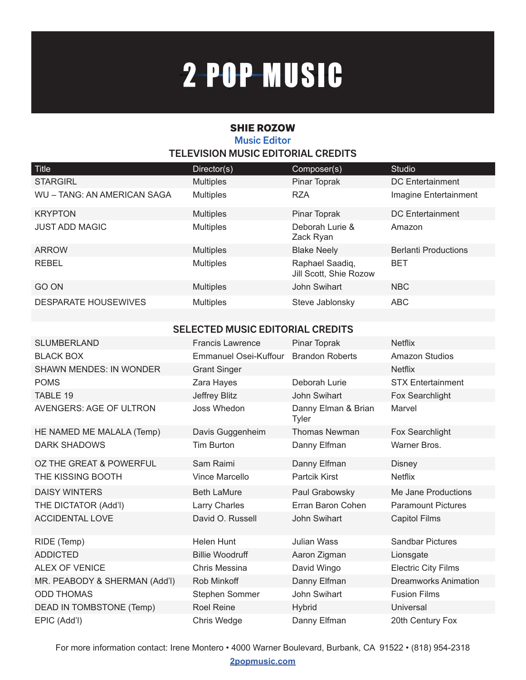# 2-POP-MUSIC

### SHIE ROZOW **Music Editor TELEVISION MUSIC EDITORIAL CREDITS**

| Title                       | Director(s)      | Composer(s)                               | Studio                      |
|-----------------------------|------------------|-------------------------------------------|-----------------------------|
| <b>STARGIRL</b>             | <b>Multiples</b> | Pinar Toprak                              | <b>DC</b> Entertainment     |
| WU - TANG: AN AMERICAN SAGA | <b>Multiples</b> | <b>RZA</b>                                | Imagine Entertainment       |
| <b>KRYPTON</b>              | <b>Multiples</b> | Pinar Toprak                              | <b>DC</b> Entertainment     |
| <b>JUST ADD MAGIC</b>       | <b>Multiples</b> | Deborah Lurie &<br>Zack Ryan              | Amazon                      |
| <b>ARROW</b>                | <b>Multiples</b> | <b>Blake Neely</b>                        | <b>Berlanti Productions</b> |
| REBEL                       | <b>Multiples</b> | Raphael Saadiq,<br>Jill Scott, Shie Rozow | <b>BET</b>                  |
| GO ON                       | <b>Multiples</b> | John Swihart                              | <b>NBC</b>                  |
| <b>DESPARATE HOUSEWIVES</b> | <b>Multiples</b> | Steve Jablonsky                           | <b>ABC</b>                  |

#### **SELECTED MUSIC EDITORIAL CREDITS**

| <b>SLUMBERLAND</b>             | <b>Francis Lawrence</b> | Pinar Toprak                        | <b>Netflix</b>              |
|--------------------------------|-------------------------|-------------------------------------|-----------------------------|
| <b>BLACK BOX</b>               | Emmanuel Osei-Kuffour   | <b>Brandon Roberts</b>              | <b>Amazon Studios</b>       |
| <b>SHAWN MENDES: IN WONDER</b> | <b>Grant Singer</b>     |                                     | <b>Netflix</b>              |
| <b>POMS</b>                    | Zara Hayes              | Deborah Lurie                       | <b>STX Entertainment</b>    |
| TABLE 19                       | Jeffrey Blitz           | John Swihart                        | Fox Searchlight             |
| AVENGERS: AGE OF ULTRON        | Joss Whedon             | Danny Elman & Brian<br><b>Tyler</b> | Marvel                      |
| HE NAMED ME MALALA (Temp)      | Davis Guggenheim        | <b>Thomas Newman</b>                | Fox Searchlight             |
| DARK SHADOWS                   | <b>Tim Burton</b>       | Danny Elfman                        | Warner Bros.                |
| OZ THE GREAT & POWERFUL        | Sam Raimi               | Danny Elfman                        | <b>Disney</b>               |
| THE KISSING BOOTH              | <b>Vince Marcello</b>   | <b>Partcik Kirst</b>                | <b>Netflix</b>              |
| <b>DAISY WINTERS</b>           | <b>Beth LaMure</b>      | Paul Grabowsky                      | Me Jane Productions         |
| THE DICTATOR (Add'l)           | Larry Charles           | Erran Baron Cohen                   | <b>Paramount Pictures</b>   |
| <b>ACCIDENTAL LOVE</b>         | David O. Russell        | John Swihart                        | <b>Capitol Films</b>        |
| RIDE (Temp)                    | Helen Hunt              | Julian Wass                         | <b>Sandbar Pictures</b>     |
| <b>ADDICTED</b>                | <b>Billie Woodruff</b>  | Aaron Zigman                        | Lionsgate                   |
| ALEX OF VENICE                 | Chris Messina           | David Wingo                         | <b>Electric City Films</b>  |
| MR. PEABODY & SHERMAN (Add'l)  | Rob Minkoff             | Danny Elfman                        | <b>Dreamworks Animation</b> |
| <b>ODD THOMAS</b>              | Stephen Sommer          | John Swihart                        | <b>Fusion Films</b>         |
| DEAD IN TOMBSTONE (Temp)       | <b>Roel Reine</b>       | <b>Hybrid</b>                       | Universal                   |
| EPIC (Add'l)                   | Chris Wedge             | Danny Elfman                        | 20th Century Fox            |